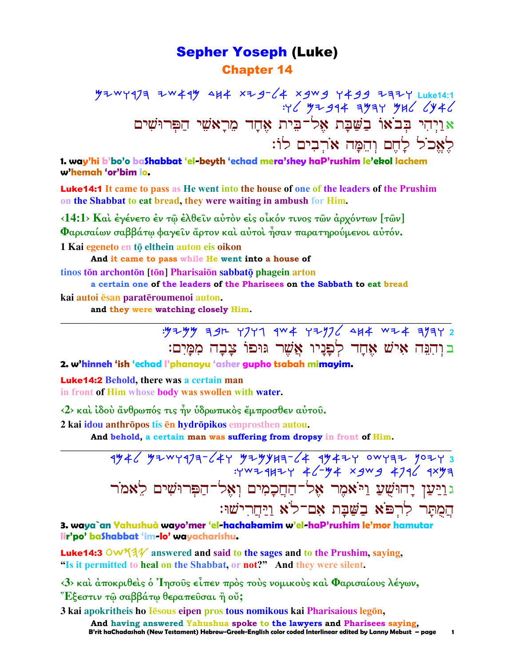### Sepher Yoseph (Luke) Chapter 14

**M2WY973 ZW49M 4H4 XZ9-64 X9W9 Y499 ZAZY Luke14:1**  $H'$  My 944 AMAY MHL LATE  $e$ וַיְהִי בְּבֹאוֹ בַשֲׁבָת אֶל־בִּית אֶחָד מֵרָאֹשֵׁי הַפִּרוּשִׁים לֵאֱכֹל לַחֵם וְהֵמֵה אֹרְבִים לוֹ:

**1. way'hi b'bo'o baShabbat 'el-beyth 'echad mera'shey haP'rushim le'ekol lachem w'hemah 'or'bim lo.**

Luke14:1 **It came to pass as He went into the house of one of the leaders of the Prushim on the Shabbat to eat bread, they were waiting in ambush for Him.** 

**‹14:1› Καὶ ἐγένετο ἐν τῷ ἐλθεῖν αὐτὸν εἰς οἶκόν τινος τῶν ἀρχόντων [τῶν] Φαρισαίων σαββάτῳ φαγεῖν ἄρτον καὶ αὐτοὶ ἦσαν παρατηρούµενοι αὐτόν.** 

1 Kai egeneto en tộ elthein auton eis oikon

**And it came to pass while He went into a house of**

**tinos tōn archontōn** [tōn] Pharisaiōn sabbatō phagein arton

**a certain one of the leaders of the Pharisees on the Sabbath to eat bread**

**\_\_\_\_\_\_\_\_\_\_\_\_\_\_\_\_\_\_\_\_\_\_\_\_\_\_\_\_\_\_\_\_\_\_\_\_\_\_\_\_\_\_\_\_\_\_\_\_\_\_\_\_\_\_\_\_\_\_\_\_\_\_\_\_\_\_\_\_\_\_\_\_\_\_\_\_\_\_\_\_\_\_\_\_\_\_\_\_\_\_\_\_\_**

**kai autoi <del>ēsan</del> paratēroumenoi auton.** 

 **and they were watching closely Him.** 

:Mymm hbe wpwg rca wynpl dja cya hnhw **2**  בוּהִנָּה אִישׁ אָחַד לְפַנַיו אֲשֶׁר גּוּפוֹ צַבָה מְמַיִם:

**2. w'hinneh 'ish 'echad l'phanayu 'asher gupho tsabah mimayim.**

Luke14:2 **Behold, there was a certain man in front of Him whose body was swollen with water.** 

**‹2› καὶ ἰδοὺ ἄνθρωπός τις ἦν ὑδρωπικὸς ἔµπροσθεν αὐτοῦ.** 

**2 kai idou anthrōpos tis ēn hydrōpikos** emprosthen autou.

 **And behold, a certain man was suffering from dropsy in front of Him.** 

**\_\_\_\_\_\_\_\_\_\_\_\_\_\_\_\_\_\_\_\_\_\_\_\_\_\_\_\_\_\_\_\_\_\_\_\_\_\_\_\_\_\_\_\_\_\_\_\_\_\_\_\_\_\_\_\_\_\_\_\_\_\_\_\_\_\_\_\_\_\_\_\_\_\_\_\_\_\_\_\_\_\_\_\_\_\_\_\_\_\_\_\_\_** 4946 YZWY9J9-64Y YZYYH9-64 994ZY owy9Z yoZY 3  $:Y^{W}$   $\rightarrow$   $Y^{W}$   $\rightarrow$   $Z$   $\rightarrow$   $Z$   $\rightarrow$   $Z$   $\rightarrow$   $Z$   $\rightarrow$   $Z$   $\rightarrow$   $Z$   $\rightarrow$   $Z$   $\rightarrow$   $Z$   $\rightarrow$   $Z$   $\rightarrow$   $Z$   $\rightarrow$   $Z$ ג וַיַּעַן יָהוּשֻׁעַ וַי<sup>ּ</sup>אמֶר אֶל־הַחֲכָמִים וְאֶל־הַפִּרוּשִׁים לֵאמֹר המתר לרפא בשבת אם־לא <u>ויחרישו:</u>

**3. waya`an Yahushuà wayo'mer 'el-hachakamim w'el-haP'rushim le'mor hamutar lir'po' baShabbat 'im-lo' wayacharishu.**

Luke14:3 OW534 answered and said to the sages and to the Prushim, saying, **"Is it permitted to heal on the Shabbat, or not?" And they were silent.** 

**‹3› καὶ ἀποκριθεὶς ὁ Ἰησοῦς εἶπεν πρὸς τοὺς νοµικοὺς καὶ Φαρισαίους λέγων, Ἔξεστιν τῷ σαββάτῳ θεραπεῦσαι ἢ οὔ;** 

**3 kai apokritheis ho Iesous eipen pros tous nomikous kai Pharisaious legon,** 

 **B'rit haChadashah (New Testament) Hebrew-Greek-English color coded Interlinear edited by Lanny Mebust – page 1 And having answered Yahushua spoke to the lawyers and Pharisees saying,**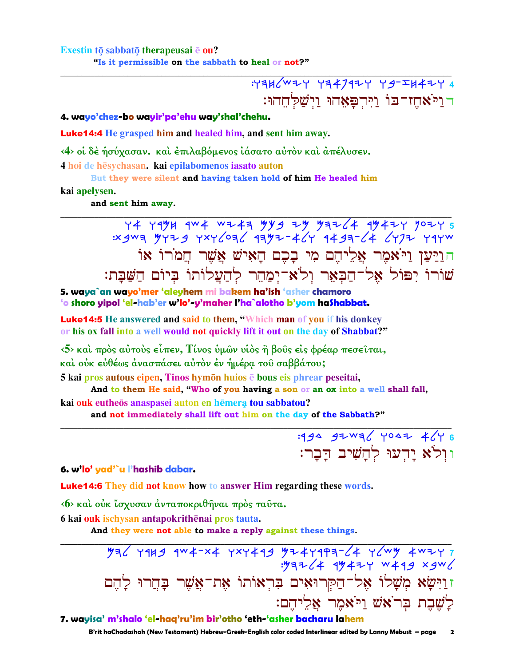Exestin tō sabbatō therapeusai ē ou?

"Is it permissible on the sabbath to heal or not?"

 $77446$   $W27$   $Y34717$   $Y377447$ דוַיֹּאחֶז־בּוֹ וַיִּרְפַּאָהוּ וַיִּשַׁלְחֶהוּ:

#### 4. wayo'chez-bo wayir'pa'ehu way'shal'chehu.

**Luke 14:4** He grasped him and healed him, and sent him away.

<4> οι δέ ήσύχασαν, και έπιλαβόμενος ιάσατο αυτόν και απέλυσεν.

4 hoi de hēsychasan. kai epilabomenos iasato auton

But they were silent and having taken hold of him He healed him

kai apelysen.

and sent him away.

 $Y4$   $Y4$   $Y4$   $Y4$   $Y4$   $Y5$   $Y6$   $Y5$   $Y6$   $Y7$   $Y8$   $Y8$   $Y9$   $Y1$   $Y6$   $Y1$   $Y1$   $Y6$   $Y1$   $Y1$   $Y1$   $Y2$   $Y3$   $Y4$   $Y5$   $Y6$   $Y5$   $Y6$   $Y7$   $Y8$   $Y9$   $Y1$   $Y1$ הוַיַּעַן וַיֹּאמֶר אֲלֵיהֶם מִי בָכֶם הַאִישׁ אֲשֶׁר חֲמֹרוֹ אוֹ שורו יפול אל־הַבְּאֵר וְלֹא־יִמֲהֵר לְהַעֲלוֹתוֹ בִיוֹם הַשַּׁבַּת:

5. waya`an wayo'mer 'aleyhem mi bakem ha'ish 'asher chamoro 'o shoro yipol 'el-hab'er w'lo'-y'maher l'ha`alotho b'yom haShabbat.

**Luke14:5** He answered and said to them, "Which man of you if his donkey or his ox fall into a well would not quickly lift it out on the day of Shabbat?"

 $\langle 5 \rangle$  και πρός αύτους είπεν, Τίνος υμών υίος ή βους είς φρέαρ πεσειται, και ούκ εὐθέως άνασπάσει αὐτὸν ἐν ἡμέρα τοῦ σαββάτου;

5 kai pros autous eipen, Tinos hymōn huios ē bous eis phrear peseitai,

And to them He said, "Who of you having a son or an ox into a well shall fall,

kai ouk eutheōs anaspasei auton en hēmera tou sabbatou?

and not immediately shall lift out him on the day of the Sabbath?"

:494 92 WA (YOAZ 4 (Y 6 וּוְלֹא יַדְעוּ לְהַשִׁיב הַבַר:

6. w'lo' yad'`u l'hashib dabar.

**Luke14:6** They did not know how to answer Him regarding these words.

(6) και ούκ ίσχυσαν άνταποκριθήναι πρός ταύτα.

6 kai ouk ischysan antapokrithēnai pros tauta.

And they were not able to make a reply against these things.

זוַיִּשָׂא מִשָׁלוֹ אָל־הַקְרוּאָים בִּרְאוֹתוֹ אָת־אַשָׁר בָּחֲרוּ לָהֵם לַשֶׁבֵת בִּרֹאַשׁ וַיֹּאמֶר אַלֵיהֵם:

7. wayisa' m'shalo 'el-haq'ru'im bir'otho 'eth-'asher bacharu lahem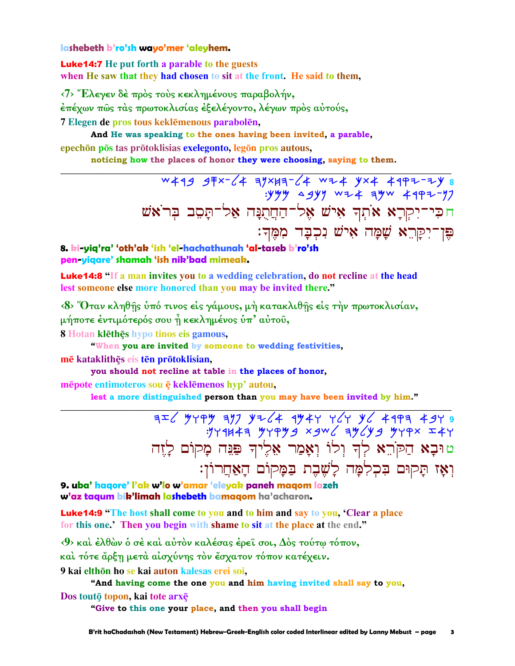#### lashebeth b'ro'sh wayo'mer 'aleyhem.

**Luke14:7** He put forth a parable to the guests when He saw that they had chosen to sit at the front. He said to them,

<7> Έλεγεν δέ πρός τους κεκλημένους παραβολήν,

έπέχων πῶς τὰς πρωτοκλισίας ἐξελέγοντο, λέγων πρὸς αὐτούς,

7 Elegen de pros tous keklēmenous parabolēn,

And He was speaking to the ones having been invited, a parable, epechōn pōs tas prōtoklisias exelegonto, legōn pros autous,

noticing how the places of honor they were choosing, saying to them.

W499 9 F x - C 4 3 Y X H 3 - C 4 W 2 4 Y X 4 4 9 P 2 - 2 Y 8  $\frac{1}{3}$ : yyy agyy wz + ayw + 497-77 חֹכִּי־יִקְרָא אֹתְךְ אִישׁ אֶל־הַחֲתֻנָּה אַל־תַּסֵב בִּרֹאֹשׁ פֵּן־יִקַּרֵא שָׁמָָה אִישׁ נִכְבָּד מְמֵֽךָ:

#### 8. ki-yiq'ra' 'oth'ak 'ish 'el-hachathunah 'al-taseb b'ro'sh pen-yiqare' shamah 'ish nik'bad mimeak.

**Luke14:8** "If a man invites you to a wedding celebration, do not recline at the head lest someone else more honored than you may be invited there."

<8> Όταν κληθής ύπό τινος είς γάμους, μή κατακλιθής είς τήν πρωτοκλισίαν, μήποτε έντιμότερός σου η κεκλημένος υπ' αυτου,

8 Hotan klēthēs hypo tinos eis gamous,

"When you are invited by someone to wedding festivities,

mē kataklithēs eis tēn prōtoklisian,

you should not recline at table in the places of honor,

mēpote entimoteros sou ē keklēmenos hyp' autou,

lest a more distinguished person than you may have been invited by him."

 $752 \times 10^{-11}$  and the server and the server server and the server server and the server server server server server server server in the server server server server server server server server server server server server טוּבָא הַקֹּרֵא לְךְ וְלוֹ וְאָמַר אֵלֶיךָ פַּגַּה מָקוֹם לָזֵה וְאֵז תַּקוּם בִּכְלְמַּה לַשֵׁבֵת בַּמַקוֹם הַאֲחֲרוֹן:

9. uba' hagore' l'ak w'lo w'amar 'eleyak paneh magom lazeh w'az tagum bik'limah lashebeth bamagom ha'acharon.

**Luke14:9** "The host shall come to you and to him and say to you, 'Clear a place for this one.' Then you begin with shame to sit at the place at the end."

<9> και έλθών ο σε και αύτον καλέσας έρει σοι, Δός τούτω τόπον,

και τότε ἄρξη μετα αίσχύνης τον έσχατον τόπον κατέχειν.

9 kai elthōn ho se kai auton kalesas erei soi,

"And having come the one you and him having invited shall say to you,

Dos touto topon, kai tote arxe

"Give to this one your place, and then you shall begin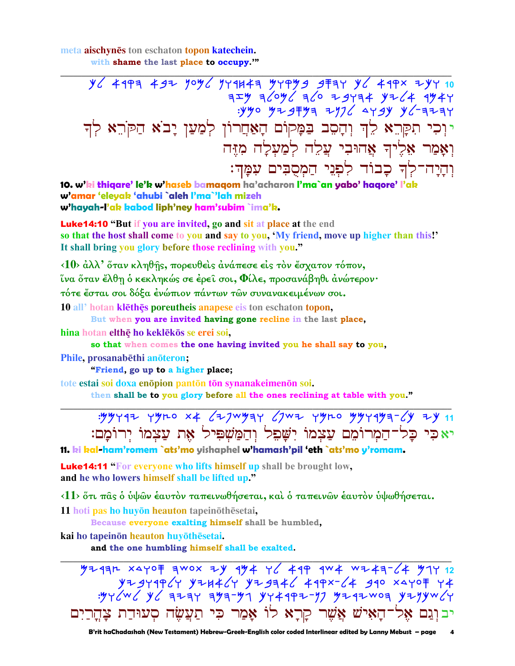meta aischynes ton eschaton topon katechein. with shame the last place to occupy."

> $\frac{1}{2}$   $\frac{1}{2}$   $\frac{1}{2}$   $\frac{1}{2}$   $\frac{1}{2}$   $\frac{1}{2}$   $\frac{1}{2}$   $\frac{1}{2}$   $\frac{1}{2}$   $\frac{1}{2}$   $\frac{1}{2}$   $\frac{1}{2}$   $\frac{1}{2}$   $\frac{1}{2}$   $\frac{1}{2}$   $\frac{1}{2}$   $\frac{1}{2}$   $\frac{1}{2}$   $\frac{1}{2}$   $\frac{1}{2}$   $\frac{1}{2}$   $\frac{1}{2}$   $75.4$  3/04/ 3/0 29434 42/4 9444  $.940$   $.974$   $.971$   $.979$   $.999$   $.917$   $.999$ יוכי תקרא לד והסב בַּמָּקוֹם הָאַחֲרוֹן לְמַעַן יָבֹא הַקֹּרֵא לְד וְאַמַר אֶלֶיךָ אֲהוּבִי עֲלֶה לְמַעָלַה מָזֶה וִהַיַה־לִדְ כָבוֹד לִפְנֵי הַמְסֻבִּים עִמֲךָ:

10. w'ki thiqare' le'k w'haseb bamaqom ha'acharon l'ma`an yabo' haqore' l'ak w'amar 'eleyak 'ahubi `aleh l'ma`'lah mizeh w'hayah-l'ak kabod liph'ney ham'subim `ima'k.

**Luke 14:10 "But if you are invited, go and sit at place at the end** so that the host shall come to you and say to you, 'My friend, move up higher than this!' It shall bring you glory before those reclining with you."

<10> άλλ' ὅταν κληθής, πορευθείς άνάπεσε είς τον έσχατον τόπον,

ΐνα ὅταν ἔλθη ὁ κεκληκώς σε ἐρεῖ σοι, Φίλε, προσανάβηθι ἀνώτερον·

τότε έσται σοι δόξα ένώπιον πάντων των συνανακειμένων σοι.

10 all' hotan klethes poreutheis anapese eis ton eschaton topon,

But when you are invited having gone recline in the last place,

hina hotan elthę ho keklekos se erei soi,

so that when comes the one having invited you he shall say to you,

Phile, prosanabēthi anoteron;

"Friend, go up to a higher place;

tote estai soi doxa enopion panton ton synanakeimenon soi.

then shall be to you glory before all the ones reclining at table with you."

| : "YYY97 YYLO X4 677WYAY 67W7 YYLO YYY9YA-6Y 7Y 11                            |  |  |  |  |
|-------------------------------------------------------------------------------|--|--|--|--|
| יאכִי כָּל־הַמְרוֹמֵם עַצְמוֹ יִשָּׁפִל וְהַמַּשְׁפִּיל אֶת עַצְמוֹ יְרוֹמָם: |  |  |  |  |

11. ki kal-ham'romem `ats'mo yishaphel w'hamash'pil 'eth `ats'mo y'romam.

**Luke14:11** "For everyone who lifts himself up shall be brought low, and he who lowers himself shall be lifted up."

<11> ότι πας ο ύψων έαυτον ταπεινωθήσεται, και ο ταπεινων έαυτον υψωθήσεται.

11 hoti pas ho huyōn heauton tapeinōthēsetai,

Because everyone exalting himself shall be humbled,

kai ho tapeinōn heauton huyōthēsetai.

and the one humbling himself shall be exalted.

 $49 + 47 + 12$  $Y+3Y1964Y$   $Y+1446Y$   $Y+3946$   $419x-64$   $310$   $x4107$   $Y4$ יבוִנֵם אֵל־הָאִישׁ אֲשֵׁר קַרָא לוֹ אָמַר כִּי תַעֲשֶׂה סְעוּדַת צָהְרַיִם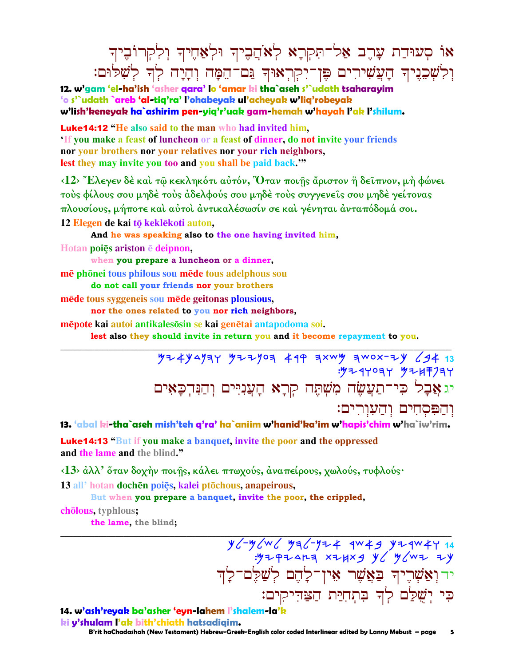## י סְעוּדַת עָרֶב אַל־תִּקְרָא לְאֹהֲבֶיךָ וּלְאַחֶיךָ וְלִקְרוֹבֶיך וְּלִשְׁבֵנֶיךָ הָעֲשִׁירִים פֶּן־יִקְרְאוּךְ נֵּם־הֵמָּה וְהָיָה לְדָ לְשָׁלּוּם:

**12. w'gam 'el-ha'ish 'asher qara' lo 'amar ki tha`aseh s'`udath tsaharayim 'o s'`udath `areb 'al-tiq'ra' l'ohabeyak ul'acheyak w'liq'robeyak w'lish'keneyak ha`ashirim pen-yiq'r'uak gam-hemah w'hayah l'ak l'shilum.**

Luke14:12 **"He also said to the man who had invited him, 'If you make a feast of luncheon or a feast of dinner, do not invite your friends nor your brothers nor your relatives nor your rich neighbors, lest they may invite you too and you shall be paid back.'"**

**‹12› Ἔλεγεν δὲ καὶ τῷ κεκληκότι αὐτόν, Ὅταν ποιῇς ἄριστον ἢ δεῖπνον, µὴ φώνει τοὺς φίλους σου µηδὲ τοὺς ἀδελφούς σου µηδὲ τοὺς συγγενεῖς σου µηδὲ γείτονας πλουσίους, µήποτε καὶ αὐτοὶ ἀντικαλέσωσίν σε καὶ γένηται ἀνταπόδοµά σοι.**  12 Elegen de kai tō keklēkoti auton,

**And he was speaking also to the one having invited him, Hotan poiÿs ariston deipnon,** 

**when you prepare a luncheon or a dinner, mē** phōnei **tous** philous sou **mēde tous** adelphous sou

**do not call your friends nor your brothers**

**mēde tous syggeneis sou mēde geitonas plousious,** 

**nor the ones related to you nor rich neighbors,**

**mēpote kai autoi antikalesosin se kai genētai antapodoma soi.** 

**lest also they should invite in return you and it become repayment to you.** 

**\_\_\_\_\_\_\_\_\_\_\_\_\_\_\_\_\_\_\_\_\_\_\_\_\_\_\_\_\_\_\_\_\_\_\_\_\_\_\_\_\_\_\_\_\_\_\_\_\_\_\_\_\_\_\_\_\_\_\_\_\_\_\_\_\_\_\_\_\_\_\_\_\_\_\_\_\_\_\_\_\_\_\_\_\_\_\_\_\_\_\_\_\_** Myakdnhw Myynoh arq htcm hcot-yk lba **13**  :Myrwohw Myjsphw  $\epsilon$ יג אֲבָל כִּי־תַעֲשֶׂה מִשְׁתֵּה קִרָא הַעֲנִיִּים וְהַנִּהְכָאִים והפסחים והעורים:

**13. 'abal ki-tha`aseh mish'teh q'ra' ha`aniim w'hanid'ka'im w'hapis'chim w'ha`iw'rim.**

Luke14:13 **"But if you make a banquet, invite the poor and the oppressed and the lame and the blind."**

**‹13› ἀλλ' ὅταν δοχὴν ποιῇς, κάλει πτωχούς, ἀναπείρους, χωλούς, τυφλούς·** 

13 all<sup>*i*</sup> hotan **dochēn** poiēs, kalei ptōchous, anapeirous,

**But when you prepare a banquet, invite the poor, the crippled,**

cholous, typhlous;

**the lame, the blind;** 

**\_\_\_\_\_\_\_\_\_\_\_\_\_\_\_\_\_\_\_\_\_\_\_\_\_\_\_\_\_\_\_\_\_\_\_\_\_\_\_\_\_\_\_\_\_\_\_\_\_\_\_\_\_\_\_\_\_\_\_\_\_\_\_\_\_\_\_\_\_\_\_\_\_\_\_\_\_\_\_\_\_\_\_\_\_\_\_\_\_\_\_\_\_** XC-YCWC YaC-YZ4 4W49 YZ4W4Y 14 :Myqydeh tyjtb kl Mlcy yk יר ואַשריך באַשר אין־לָהֵם לְשַׁלֵם־לַד ּפִי יִשָׁלַם לִדְ בִּתְחָיַּת הַצַּדִיקִים:

### **14. w'ash'reyak ba'asher 'eyn-lahem l'shalem-la'k**

 **B'rit haChadashah (New Testament) Hebrew-Greek-English color coded Interlinear edited by Lanny Mebust – page 5 ki y'shulam l'ak bith'chiath hatsadiqim.**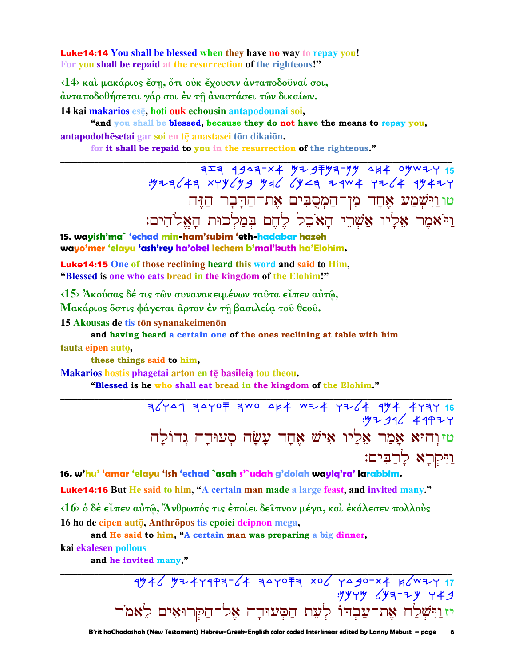**Luke14:14 You shall be blessed when they have no way to repay you!** For you shall be repaid at the resurrection of the righteous!"

<14> και μακάριος έση, ότι ούκ έχουσιν άνταποδούναί σοι, άνταποδοθήσεται γάρ σοι έν τῆ ἀναστάσει τῶν δικαίων.

14 kai makarios ese, hoti ouk echousin antapodounai soi,

"and you shall be blessed, because they do not have the means to repay you, antapodothesetai gar soi en te anastasei ton dikaion.

for it shall be repaid to you in the resurrection of the righteous."

טוּוַיִּשְׁמַע אֶחָד מִן־הַמְסֻבִּים אֶת־הַדָּבָר הַזֶּה וַיֹּאמֶר אָלֵיו אַשְׁרֵי הַאֹכֶל לֵחֵם בִּמַלְכוּת הַאֱלֹהִים:

15. wayish'ma` 'echad min-ham'subim 'eth-hadabar hazeh wayo'mer 'elayu 'ash'rey ha'okel lechem b'mal'kuth ha'Elohim.

**Luke 14:15** One of those reclining heard this word and said to Him. "Blessed is one who eats bread in the kingdom of the Elohim!"

<15> Άκούσας δέ τις τῶν συνανακειμένων ταῦτα εἶπεν αὐτῶ,

Μακάριος ὄστις φάγεται ἄρτον έν τη βασιλεία του θεου.

15 Akousas de tis tōn synanakeimenōn

and having heard a certain one of the ones reclining at table with him

tauta eipen autō.

these things said to him.

Makarios hostis phagetai arton en tē basileia tou theou.

"Blessed is he who shall eat bread in the kingdom of the Elohim."

 $76$   $404$   $797$   $797$   $790$   $844$   $84 + 476$   $494$   $194$   $197$   $16$  $.9792$  49924 טזוָהוּא אָמַר אֵלִיו אִישׁ אֵחָד עָשָׂה סִעוּדָה גִדוֹלַה ויקרא לרבים:

16. w'hu' 'amar 'elayu 'ish 'echad `asah s'`udah g'dolah wayig'ra' larabbim.

Luke14:16 But He said to him, "A certain man made a large feast, and invited many."

<16> ο δέ είπεν αύτω, Άνθρωπός τις έποίει δείπνον μέγα, και έκάλεσεν πολλούς 16 ho de eipen autō, Anthrōpos tis epoiei deipnon mega,

and He said to him, "A certain man was preparing a big dinner, kai ekalesen pollous

and he invited many,"

 $1946$  9244999-64 9440 7 106 4490-14 86441 יזוַיִּשְׁלַח אֶת־עַבְדוֹ לְעֵת הַסְּעוּדָה אֶל־הַקְּרוּאִים לֵאמֹר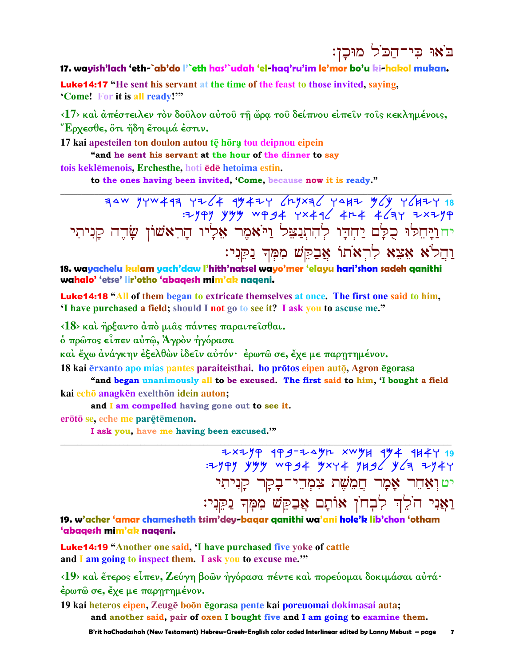## בֹאוּ כִי־הַכֹּל מוּכֵן:

### 17. wayish'lach 'eth-`ab'do l'`eth has'`udah 'el-hag'ru'im le'mor bo'u ki-hakol mukan.

**Luke14:17** "He sent his servant at the time of the feast to those invited, saying, 'Come! For it is all ready!""

<17> και άπέστειλεν τον δούλον αύτου τη ώρα του δείπνου είπειν τοις κεκλημένοις, "Έρχεσθε, ὅτι ἤδη ἔτοιμά ἐστιν.

17 kai apesteilen ton doulon autou tē hōrą tou deipnou eipein "and he sent his servant at the hour of the dinner to sav

tois keklēmenois. Erchesthe, hoti ēdē hetoima estin.

to the ones having been invited, 'Come, because now it is ready."

יחוַיַּהִלוּ כָלַם יַחִדִּו לְהִתְנַצֵּל וַיֹּאמֶר אָלָיו הָרִאשׁוֹן שָׂהֵה קַנִיתִי וַהֲלֹא אֵצֵא לְרִאֹתוֹ אֲבַקֵּשׁ מִמְּךְ נַקְנִי:

18. wayachelu kulam yach'daw l'hith'natsel wayo'mer 'elayu hari'shon sadeh ganithi wahalo' 'etse' lir'otho 'abaqesh mim'ak naqeni.

**Luke14:18** "All of them began to extricate themselves at once. The first one said to him. 'I have purchased a field; should I not go to see it? I ask you to ascuse me."

 $\langle 18 \rangle$  και ήρξαντο άπό μιας πάντες παραιτεισθαι.

ό πρώτος είπεν αύτω, Άγρον ήγόρασα

καὶ ἔχω ἀνάγκην ἐξελθὼν ἰδεῖν αὐτόν· ἐρωτῶ σε, ἔχε με παρητημένον.

18 kai ērxanto apo mias pantes paraiteisthai. ho prōtos eipen autō, Agron ēgorasa

"and began unanimously all to be excused. The first said to him, 'I bought a field kai echō anagkēn exelthōn idein auton;

and I am compelled having gone out to see it.

erōtō se, eche me parētēmenon.

I ask you, have me having been excused."

 $7\times779$  995 7497 7494 744 944 944 944 944<br>Figures 1996 954 944 944 944 944 944 יט וְאַחֵר אָמָר חֲמִשָׁת צִמְהֵי־בָקָר קַנִיתִי וַאֲנִי הֹלֵךְ לְבְחֹן אוֹתָם אֲבַקֵּשׁ מִמְּךְ נַקֵּנִי:

19. w'acher 'amar chamesheth tsim'dey-bagar ganithi wa'ani hole'k lib'chon 'otham 'abaqesh mim'ak naqeni.

**Luke14:19** "Another one said, 'I have purchased five voke of cattle and I am going to inspect them. I ask you to excuse me."

<19> και έτερος είπεν, Ζεύγη βοών ήγόρασα πέντε και πορεύομαι δοκιμάσαι αυτά· έρωτώ σε, έχε με παρητημένον.

19 kai heteros eipen, Zeugē boōn ēgorasa pente kai poreuomai dokimasai auta; and another said, pair of oxen I bought five and I am going to examine them.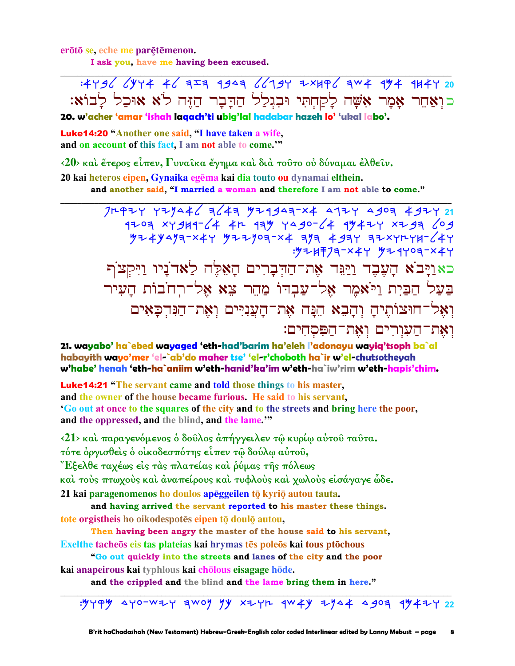erōtō se, eche me parētēmenon.

I ask you, have me having been excused.

: 4496 CYY4 46 7= 9949 66794 7×496 944 974 974 974 כואַחֵר אַמַר אִשָּׁה לַקַחִתִּי וּבְגִלַל הַדַּבָר הַזֶּה לֹא אוּכַל לַבוֹא:

20. w'acher 'amar 'ishah laqach'ti ubig'lal hadabar hazeh lo' 'ukal labo'.

**Luke14:20 "Another one said, "I have taken a wife,** and on account of this fact, I am not able to come."

<20> και έτερος είπεν, Γυναίκα έγημα και διά τούτο ου δύναμαι έλθείν.

20 kai heteros eipen, Gynaika egēma kai dia touto ou dynamai elthein.

and another said, "I married a woman and therefore I am not able to come."

 $1709$  XY9H1-64 4h 179 YA90-64 1947Y XZ93 609 : 9 = 14 = 7 = - x 4 + 9 = 4 + 0 = - x 4 + כאַוַיָּבֹא הָעֶבֶד וַיַּגִּד אֶת־הַדְּבָרִים הָאֵלֶּה לַאדֹנַיו וַיִּקִצֹּף בעל הבית ויאמר אל־עבדו מהר צא אל־רחבות העיר וְאֵל־חוּצוֹתֵיהַ וְהַבָא הֵנַּה אֶת־הַעֲנִיִּים וְאֶת־הַנְּהִכַּאִים וְאֶת־הַעָּוְרִים וְאֶת־הַפִּסְחִים:

21. wayabo' ha`ebed wayaged 'eth-had'barim ha'eleh l'adonayu wayiq'tsoph ba`al habayith wayo'mer 'el-`ab'do maher tse' 'el-r'choboth ha`ir w'el-chutsotheyah w'habe' henah 'eth-ha`aniim w'eth-hanid'ka'im w'eth-ha`iw'rim w'eth-hapis'chim.

**Luke14:21** "The servant came and told those things to his master, and the owner of the house became furious. He said to his servant. 'Go out at once to the squares of the city and to the streets and bring here the poor, and the oppressed, and the blind, and the lame.""

<21> και παραγενόμενος ο δούλος απήγγειλεν τω κυρίω αυτού ταύτα. τότε όργισθείς ο οίκοδεσπότης είπεν τω δούλω αύτου, "Εξελθε ταχέως είς τὰς πλατείας καὶ ῥύμας τῆς πόλεως καὶ τοὺς πτωχοὺς καὶ ἀναπείρους καὶ τυφλοὺς καὶ χωλοὺς εἰσάγαγε ὧδε. 21 kai paragenomenos ho doulos apeggeilen tō kyriō autou tauta.

and having arrived the servant reported to his master these things. tote orgistheis ho oikodespotes eipen tō doulō autou,

Then having been angry the master of the house said to his servant, Exelthe tacheos eis tas plateias kai hrymas tēs poleos kai tous ptochous

"Go out quickly into the streets and lanes of the city and the poor kai anapeirous kai typhlous kai chōlous eisagage hōde.

and the crippled and the blind and the lame bring them in here."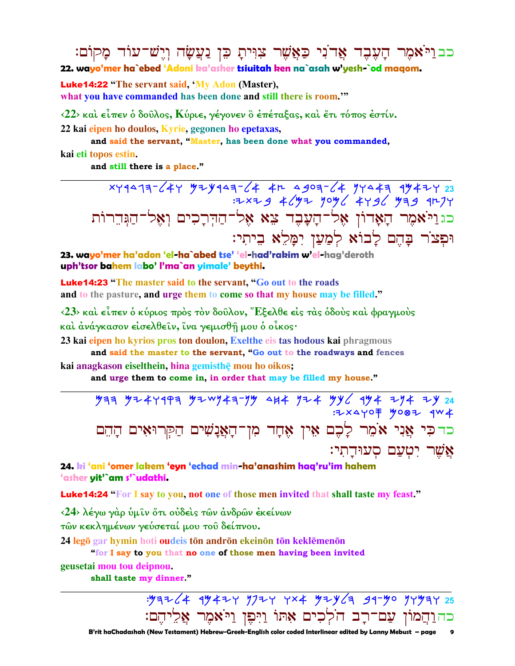כבויאמר הַעָּבֶד אַרֹנִי כַּאֲשֶׁר צִוִּיתָ כֵּן נַעֲשָׂה וְיֵשׁ־עוֹד מָקוֹם: 22. wayo'mer ha`ebed 'Adoni ka'asher tsiuitah ken na`asah w'yesh-`od magom.

**Luke14:22** "The servant said, 'My Adon (Master), what you have commanded has been done and still there is room."

 $\langle 22 \rangle$  και είπεν ο δούλος, Κύριε, γέγονεν ο επέταξας, και έτι τόπος εστίν.

22 kai eipen ho doulos, Kyrie, gegonen ho epetaxas,

and said the servant, "Master, has been done what you commanded,

kai eti topos estin.

and still there is a place."

 $x + 19 - 647$   $y = y - 64 - 64$ <br> $x + 39 - 64$ <br> $y = 23$ : 2x2g 4 (y2 yoy 6 44g 6 yag 91274 כגוַיֹּאמֶר הָאָדוֹן אֶל־הָעָבֶד צֵא אֵל־הַדִּרָכִים וְאֵל־הַגִּדֵרוֹת וּפִצֹר בָּהֵם לָבוֹא לִמַעַן יִמָּלֵא בִיתִי:

23. wayo'mer ha'adon 'el-ha`abed tse' 'el-had'rakim w'el-hag'deroth uph'tsor bahem labo' l'ma`an yimale' beythi.

**Luke14:23** "The master said to the servant, "Go out to the roads" and to the pasture, and urge them to come so that my house may be filled."

 $\langle 23 \rangle$  και είπεν ο κύριος προς τον δούλον, Έξελθε είς τας όδους και φραγμούς καὶ ἀνάγκασον εἰσελθεῖν, ἵνα γεμισθῆ μου ὁ οἶκος·

23 kai eipen ho kyrios pros ton doulon, Exelthe eis tas hodous kai phragmous

and said the master to the servant, "Go out to the roadways and fences kai anagkason eiselthein, hina gemisthe mou ho oikos;

and urge them to come in, in order that may be filled my house."

כדכִּי אֲנִי אֹמֵר לָכֶם אֵין אֶחָד מִן־הָאֲנָשִׁים הַקְּרוּאִים הָהֵם אשר יטעם סעוּדתי:

24. ki 'ani 'omer lakem 'eyn 'echad min-ha'anashim haq'ru'im hahem 'asher yit'`am s'`udathi.

**Luke14:24 "For I say to you, not one of those men invited that shall taste my feast."** 

 $\langle 24 \rangle$  λέγω γάρ ύμιν ότι ούδεις των άνδρων εκείνων

τῶν κεκλημένων γεύσεταί μου του δείπνου.

24 legō gar hymin hoti oudeis tōn andrōn ekeinōn tōn keklēmenōn

"for I say to you that no one of those men having been invited

geusetai mou tou deipnou.

shall taste my dinner."

: 97264 99424 9724 4x4 9246 99-90 94974 25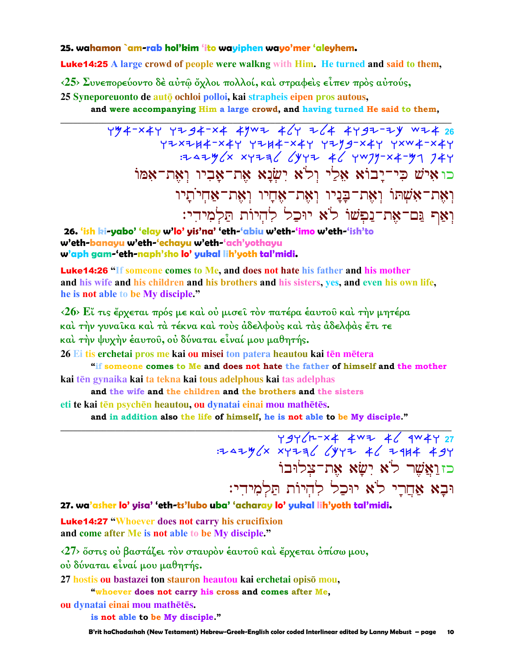#### 25. wahamon `am-rab hol'kim 'ito wayiphen wayo'mer 'aleyhem.

**Luke14:25** A large crowd of people were walkng with Him. He turned and said to them,

<25> Συνεπορεύοντο δέ αύτω όχλοι πολλοί, και στραφείς είπεν πρός αύτούς,

25 Syneporeuonto de auto ochloi polloi, kai strapheis eipen pros autous,

and were accompanying Him a large crowd, and having turned He said to them,

 $494-244$   $724-34-34$   $4997$   $4/7$   $7/4$   $4797-79$   $9742$ כו איש כי־יבוא אלי ולא ישנא את־אביו ואת־אמו וְאֶת־אָשֶׁתוֹ וְאֶת־בַּנֵיו וְאֶת־אֲחֲיו וְאֶת־אַחְיֹתֵיו וְאַף נֵם־אֶת־נַפְשׁוֹ לֹא יוּכַל לְהִיוֹת תַּלְמִידִי:

26. 'ish ki-yabo' 'elay w'lo' yis'na' 'eth-'abiu w'eth-'imo w'eth-'ish'to w'eth-banayu w'eth-'echayu w'eth-'ach'yothayu w'aph gam-'eth-naph'sho lo' yukal lih'yoth tal'midi.

**Luke14:26 "If someone comes to Me, and does not hate his father and his mother** and his wife and his children and his brothers and his sisters, yes, and even his own life, he is not able to be My disciple."

<26> Εί τις έρχεται πρός με και ού μισεί τον πατέρα εαυτού και την μητέρα καὶ τὴν γυναῖκα καὶ τὰ τέκνα καὶ τοὺς ἀδελφοὺς καὶ τὰς ἀδελφὰς ἔτι τε καὶ τὴν ψυχὴν ἑαυτοῦ, οὐ δύναται εἶναί μου μαθητής.

26 Ei tis erchetai pros me kai ou misei ton patera heautou kai tēn mētera

"if someone comes to Me and does not hate the father of himself and the mother kai tēn gynaika kai ta tekna kai tous adelphous kai tas adelphas

and the wife and the children and the brothers and the sisters

eti te kai tēn psychēn heautou, ou dynatai einai mou mathētēs.

and in addition also the life of himself, he is not able to be My disciple."

494 / 12 4 4 4 4 4 4 4 4 4 4 27  $77.3744 \times x$  xyzzz  $20.444 \times x$ כזואשר לא ישא את־צלוּבוֹ וּבָא אַחֲרֵי לֹא יוּכַל לְהִיוֹת תַּלְמִידִי:

27. wa'asher lo' yisa' 'eth-ts'lubo uba' 'acharay lo' yukal lih'yoth tal'midi.

**Luke14:27 "Whoever does not carry his crucifixion** and come after Me is not able to be My disciple."

<27> όστις ού βαστάζει τον σταυρον έαυτού και έρχεται όπίσω μου, ού δύναται είναί μου μαθητής.

27 hostis ou bastazei ton stauron heautou kai erchetai opisō mou,

"whoever does not carry his cross and comes after Me,

ou dynatai einai mou mathētēs.

is not able to be My disciple."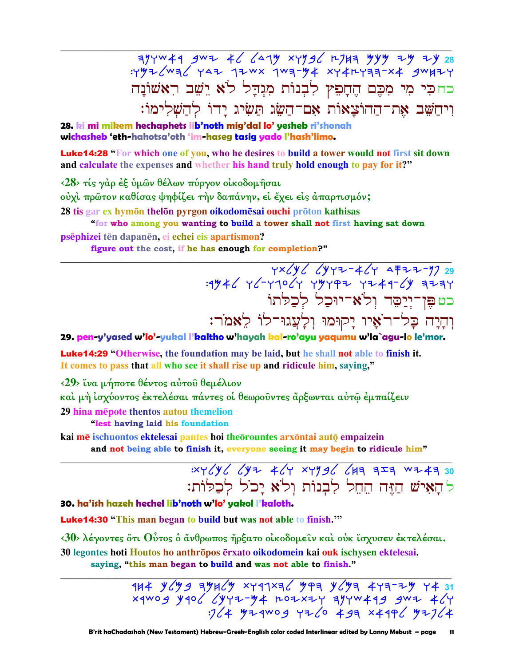$374W49$  gwz 46 6279 xyyg6 r7H3 9yy zy zy 28 : yy = < wa < y < 12 wx 1wa-44 xy + ry = x + 3w + + Y כחכי מי מִכֶּם הֶחָפִץ לִבְנוֹת מִנְדָל לֹא יֵשֵׁב רִאָשׁוֹנָה וִיחַשֵּׁב אֶת־הַהוֹצָאוֹת אָם־הַשֶּׂג תַּשִׂיג יַדוֹ לְהַשָׁלִימוֹ:

28. ki mi mikem hechaphets lib'noth mig'dal lo' yesheb ri'shonah wichasheb 'eth-hahotsa'oth 'im-haseg tasig yado l'hash'limo.

**Luke14:28 "For which one of you, who he desires to build a tower would not first sit down** and calculate the expenses and whether his hand truly hold enough to pay for it?"

<28> τίς γάρ έξ ύμων θέλων πύργον οικοδομήσαι

ούχι πρώτον καθίσας ψηφίζει την δαπάνην, εί έχει είς άπαρτισμόν;

28 tis gar ex hymōn thelōn pyrgon oikodomēsai ouchi prōton kathisas

"for who among you wanting to build a tower shall not first having sat down psēphizei tēn dapanēn, ei echei eis apartismon?

figure out the cost, if he has enough for completion?"

כט פֵּן־יְיַסֵּד וְלֹאי־יוּכַל לְכַלּתוֹ וְהָיָה כָּל־רֹאָיו יָקוּמוּ וִלַעֲגוּ־לוֹ לֵאמֹר:

29. pen-y'yased w'lo'-yukal l'kaltho w'hayah kal-ro'ayu yaqumu w'la`agu-lo le'mor.

**Luke14:29 "Otherwise, the foundation may be laid, but he shall not able to finish it.** It comes to pass that all who see it shall rise up and ridicule him, saying,"

<29> ΐνα μήποτε θέντος αύτοῦ θεμέλιον

καὶ μὴ ἰσχύοντος ἐκτελέσαι πάντες οἱ θεωροῦντες ἄρξωνται αὐτῷ ἐμπαίζειν

29 hina mepote thentos autou themelion

"lest having laid his foundation

kai mē ischuontos ektelesai pantes hoi theorountes arxontai auto empaizein

and not being able to finish it, everyone seeing it may begin to ridicule him"

# $30 \times Y / Y / Y$  (  $Y^T$   $4 / Y$   $30 \times Y$   $4 / Y$   $47 \times Y$   $47 \times Y$   $47 \times Y$   $47 \times Y$ להאיש הזה החל לבנות ולא יכל לכלות:

### 30. ha'ish hazeh hechel lib'noth w'lo' yakol l'kaloth.

**Luke 14:30** "This man began to build but was not able to finish."

 $\langle 30 \rangle$  λέγοντες ὅτι Ούτος ὁ ἄνθρωπος ἤρξατο οἰκοδομείν και οὐκ ἴσχυσεν ἐκτελέσαι. 30 legontes hoti Houtos ho anthrōpos ērxato oikodomein kai ouk ischysen ektelesai. saying, "this man began to build and was not able to finish."

> $144 \frac{y}{y}$   $\frac{1}{4}$   $\frac{1}{4}$   $\frac{1}{4}$   $\frac{1}{4}$   $\frac{1}{4}$   $\frac{1}{4}$   $\frac{1}{4}$   $\frac{1}{4}$   $\frac{1}{4}$   $\frac{1}{4}$   $\frac{1}{4}$   $\frac{1}{4}$   $\frac{1}{4}$   $\frac{1}{4}$   $\frac{1}{4}$   $\frac{1}{4}$   $\frac{1}{4}$   $\frac{1}{4}$   $\frac{1}{4}$   $\frac{1}{4}$   $\frac{1}{4}$  $x$  4WO g y 40  $(yy + 4 - y + 4)y + 40 = 4$  $12/4$   $4^{1}$   $4^{1}$   $4^{10}$   $9$   $1^{1}$   $1^{1}$   $1^{1}$   $1^{1}$   $1^{1}$   $1^{1}$   $1^{1}$   $1^{1}$   $1^{1}$   $1^{1}$   $1^{1}$   $1^{1}$   $1^{1}$   $1^{1}$   $1^{1}$   $1^{1}$   $1^{1}$   $1^{1}$   $1^{1}$   $1^{1}$   $1^{1}$   $1^{1}$   $1^{1}$   $1^{1}$   $1^{1}$   $1^{1}$   $1^{1}$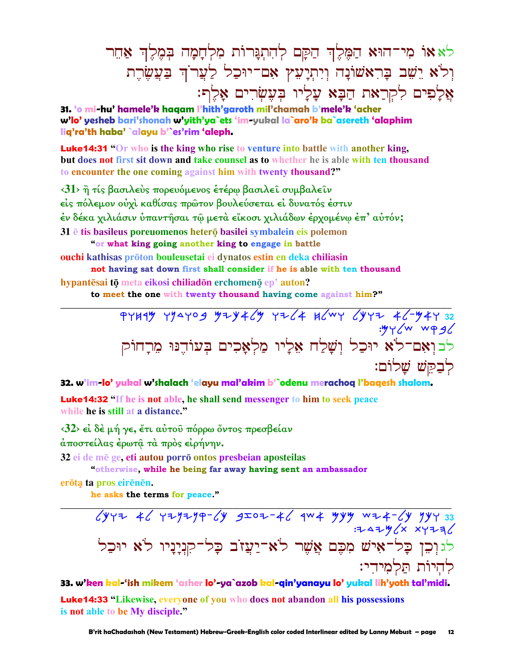לאאו מי־הוּא הַמֶּלֵךְ הַקַּם לְהִתְנַּרוֹת מִלְחָמָה בִּמֵלֵךְ אַחֵר וְלֹא יֵשֵׁב בָּרִאַשׁוֹנָה וְיִתְיָעִץ אִם־יוּכַל לַעֲרֹךְ בַּעֲשֶׂרֶת אֲלַפִים לִקְרַאת הַבָּא עַלַיו בִּעֲשָׂרִים אַלֵף:

31. 'o mi-hu' hamele'k haaam l'hith'garoth mil'chamah b'mele'k 'acher w'lo' vesheb bari'shonah w'yith'ya`ets 'im-yukal la`aro'k ba`asereth 'alaphim lig'ra'th haba' `alayu b'`es'rim 'aleph.

**Luke14:31** "Or who is the king who rise to venture into battle with another king, but does not first sit down and take counsel as to whether he is able with ten thousand to encounter the one coming against him with twenty thousand?"

<31> ή τίς βασιλεύς πορευόμενος έτέρω βασιλεί συμβαλείν είς πόλεμον ούχι καθίσας πρώτον βουλεύσεται εί δυνατός έστιν έν δέκα χιλιάσιν υπαντήσαι τω μετά είκοσι χιλιάδων έρχομένω έπ' αυτόν; 31 è tis basileus poreuomenos hetero basilei symbalein eis polemon "or what king going another king to engage in battle

ouchi kathisas prōton bouleusetai ei dynatos estin en deka chiliasin not having sat down first shall consider if he is able with ten thousand

hypantēsai tō meta eikosi chiliadōn erchomenō ep' auton?

to meet the one with twenty thousand having come against him?"

32. w'im-lo' yukal w'shalach 'elayu mal'akim b'`odenu merachog l'bagesh shalom.

**Luke14:32** "If he is not able, he shall send messenger to him to seek peace while he is still at a distance."

 $\langle 32 \rangle$  εί δέ μή γε, έτι αύτου πόρρω όντος πρεσβείαν άποστείλας έρωτα τα προς είρήνην.

32 ei de mē ge, eti autou porrō ontos presbeian aposteilas

"otherwise, while he being far away having sent an ambassador

erōta ta pros eirēnēn.

he asks the terms for peace."

33. w'ken kal-'ish mikem 'asher lo'-ya`azob kal-gin'yanayu lo' yukal lih'yoth tal'midi.

**Luke14:33 "Likewise, everyone of you who does not abandon all his possessions** is not able to be My disciple."